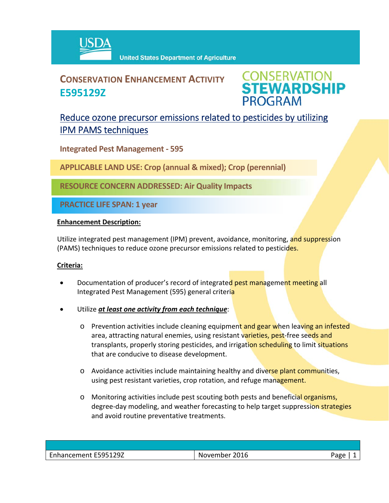

## **CONSERVATION ENHANCEMENT ACTIVITY E595129Z**



### Reduce ozone precursor emissions related to pesticides by utilizing IPM PAMS techniques

**Integrated Pest Management ‐ 595**

**APPLICABLE LAND USE: Crop (annual & mixed); Crop (perennial)**

**RESOURCE CONCERN ADDRESSED: Air Quality Impacts** 

**PRACTICE LIFE SPAN: 1 year**

#### **Enhancement Description:**

Utilize integrated pest management (IPM) prevent, avoidance, monitoring, and suppression (PAMS) techniques to reduce ozone precursor emissions related to pesticides.

#### **Criteria:**

- Documentation of producer's record of integrated pest management meeting all Integrated Pest Management (595) general criteria
- Utilize *at least one activity from each technique*:
	- o Prevention activities include cleaning equipment and gear when leaving an infested area, attracting natural enemies, using resistant varieties, pest-free seeds and transplants, properly storing pesticides, and irrigation scheduling to limit situations that are conducive to disease development.
	- o Avoidance activities include maintaining healthy and diverse plant communities, using pest resistant varieties, crop rotation, and refuge management.
	- o Monitoring activities include pest scouting both pests and beneficial organisms, degree-day modeling, and weather forecasting to help target suppression strategies and avoid routine preventative treatments.

| Enhancement E595129Z | November 2016 | Page |
|----------------------|---------------|------|